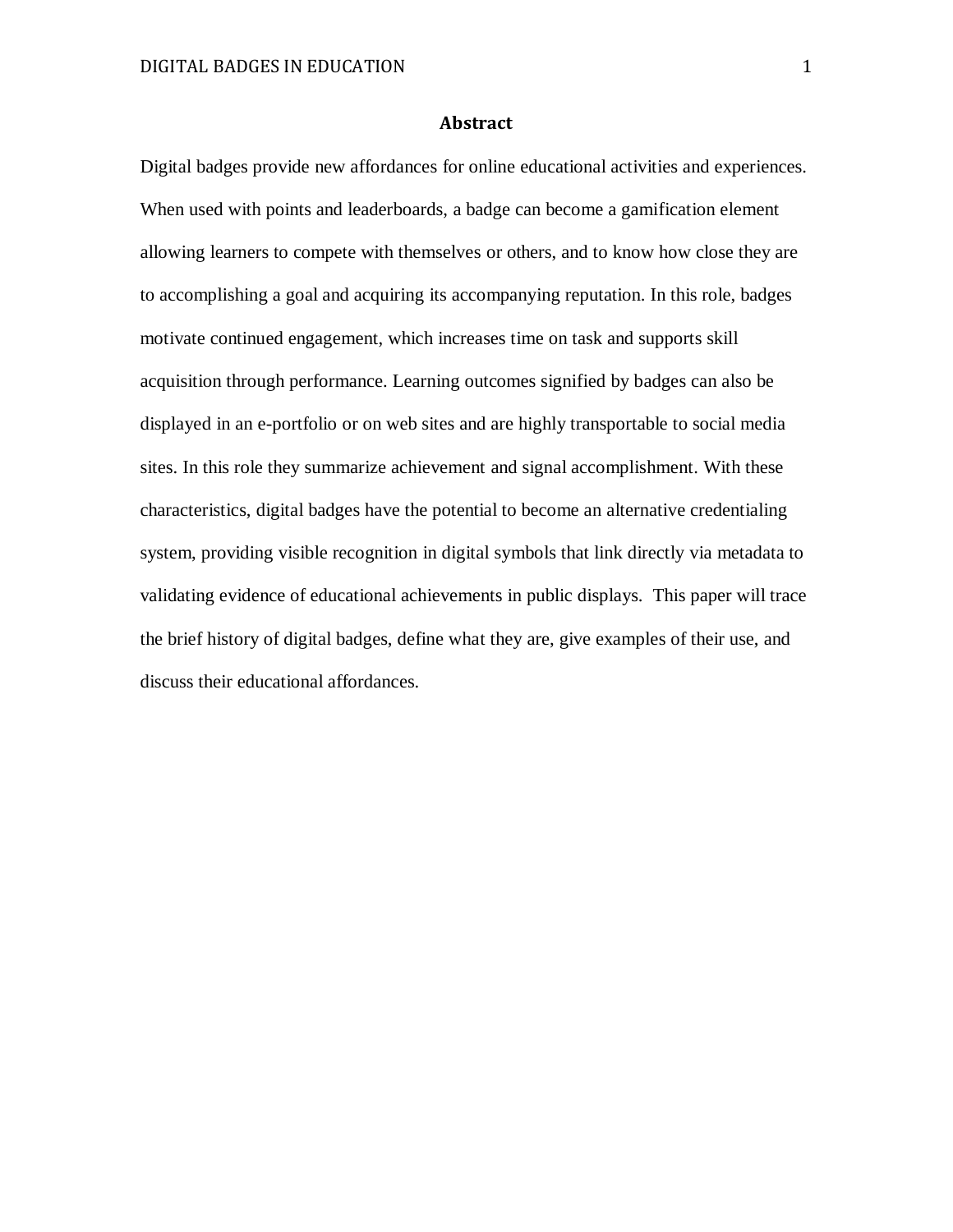## **Abstract**

Digital badges provide new affordances for online educational activities and experiences. When used with points and leaderboards, a badge can become a gamification element allowing learners to compete with themselves or others, and to know how close they are to accomplishing a goal and acquiring its accompanying reputation. In this role, badges motivate continued engagement, which increases time on task and supports skill acquisition through performance. Learning outcomes signified by badges can also be displayed in an e-portfolio or on web sites and are highly transportable to social media sites. In this role they summarize achievement and signal accomplishment. With these characteristics, digital badges have the potential to become an alternative credentialing system, providing visible recognition in digital symbols that link directly via metadata to validating evidence of educational achievements in public displays. This paper will trace the brief history of digital badges, define what they are, give examples of their use, and discuss their educational affordances.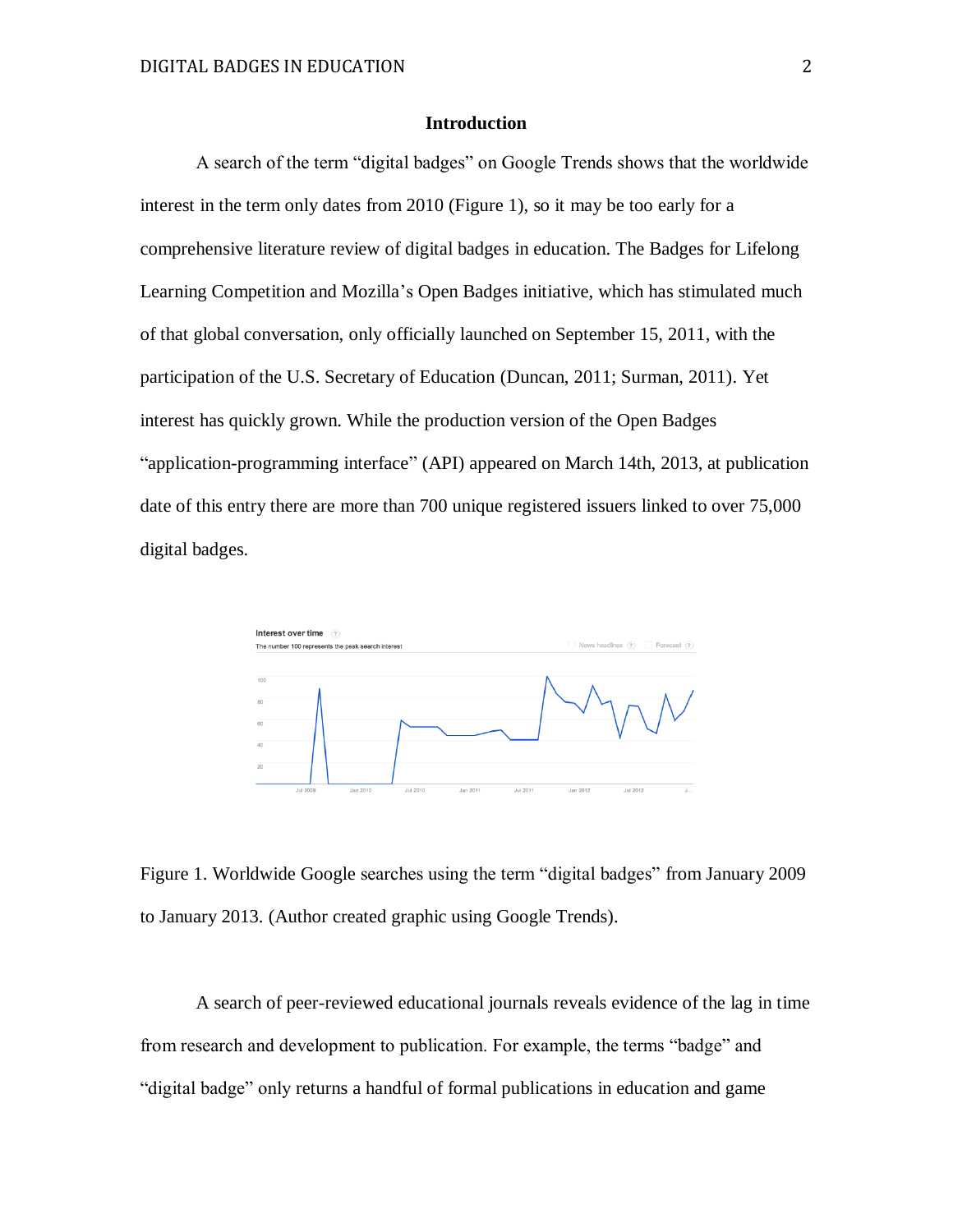## **Introduction**

A search of the term "digital badges" on Google Trends shows that the worldwide interest in the term only dates from 2010 (Figure 1), so it may be too early for a comprehensive literature review of digital badges in education. The Badges for Lifelong Learning Competition and Mozilla's Open Badges initiative, which has stimulated much of that global conversation, only officially launched on September 15, 2011, with the participation of the U.S. Secretary of Education (Duncan, 2011; Surman, 2011). Yet interest has quickly grown. While the production version of the Open Badges "application-programming interface" (API) appeared on March 14th, 2013, at publication date of this entry there are more than 700 unique registered issuers linked to over 75,000 digital badges.



Figure 1. Worldwide Google searches using the term "digital badges" from January 2009 to January 2013. (Author created graphic using Google Trends).

A search of peer-reviewed educational journals reveals evidence of the lag in time from research and development to publication. For example, the terms "badge" and "digital badge" only returns a handful of formal publications in education and game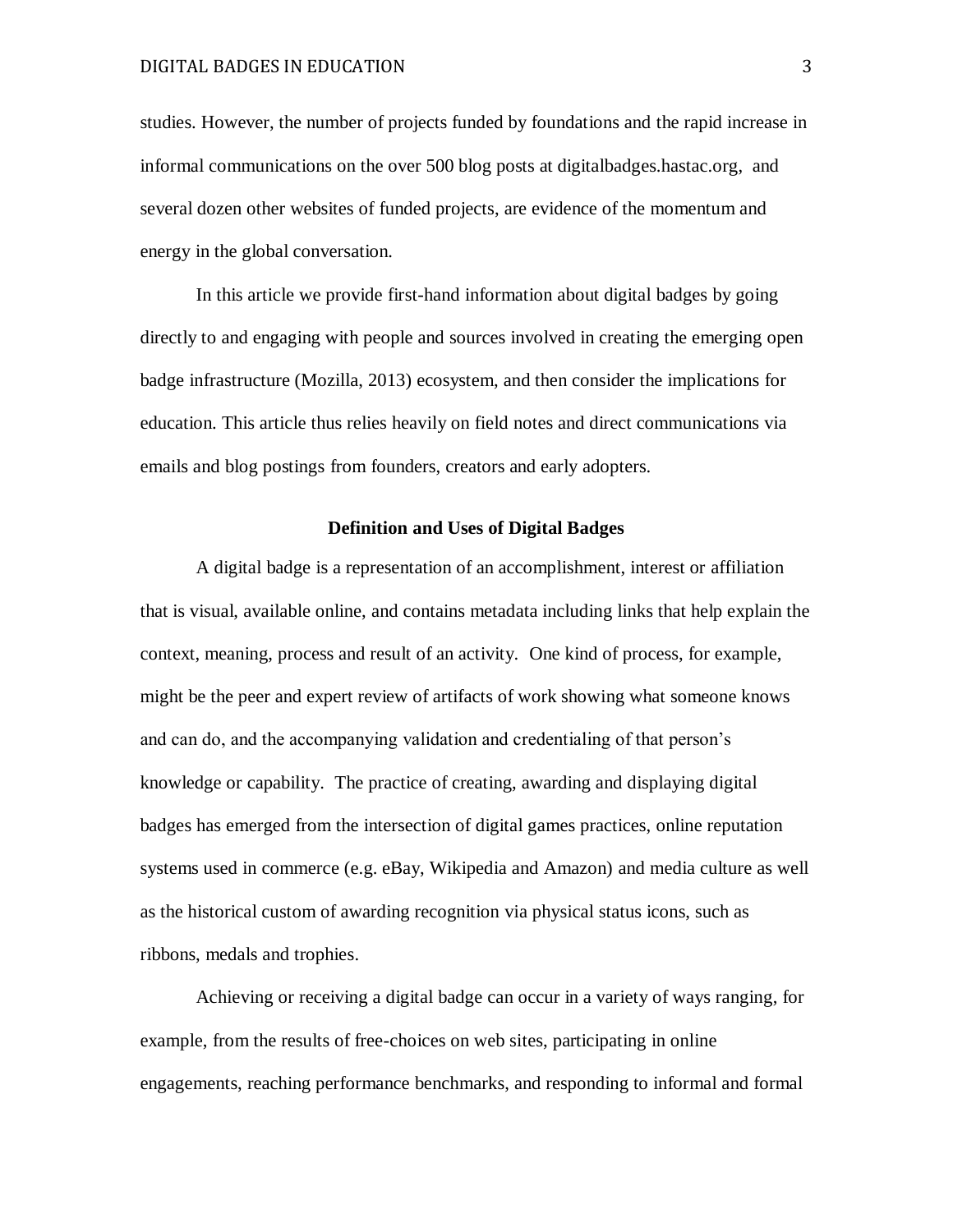studies. However, the number of projects funded by foundations and the rapid increase in informal communications on the over 500 blog posts at digitalbadges.hastac.org, and several dozen other websites of funded projects, are evidence of the momentum and energy in the global conversation.

In this article we provide first-hand information about digital badges by going directly to and engaging with people and sources involved in creating the emerging open badge infrastructure (Mozilla, 2013) ecosystem, and then consider the implications for education. This article thus relies heavily on field notes and direct communications via emails and blog postings from founders, creators and early adopters.

#### **Definition and Uses of Digital Badges**

A digital badge is a representation of an accomplishment, interest or affiliation that is visual, available online, and contains metadata including links that help explain the context, meaning, process and result of an activity. One kind of process, for example, might be the peer and expert review of artifacts of work showing what someone knows and can do, and the accompanying validation and credentialing of that person's knowledge or capability. The practice of creating, awarding and displaying digital badges has emerged from the intersection of digital games practices, online reputation systems used in commerce (e.g. eBay, Wikipedia and Amazon) and media culture as well as the historical custom of awarding recognition via physical status icons, such as ribbons, medals and trophies.

Achieving or receiving a digital badge can occur in a variety of ways ranging, for example, from the results of free-choices on web sites, participating in online engagements, reaching performance benchmarks, and responding to informal and formal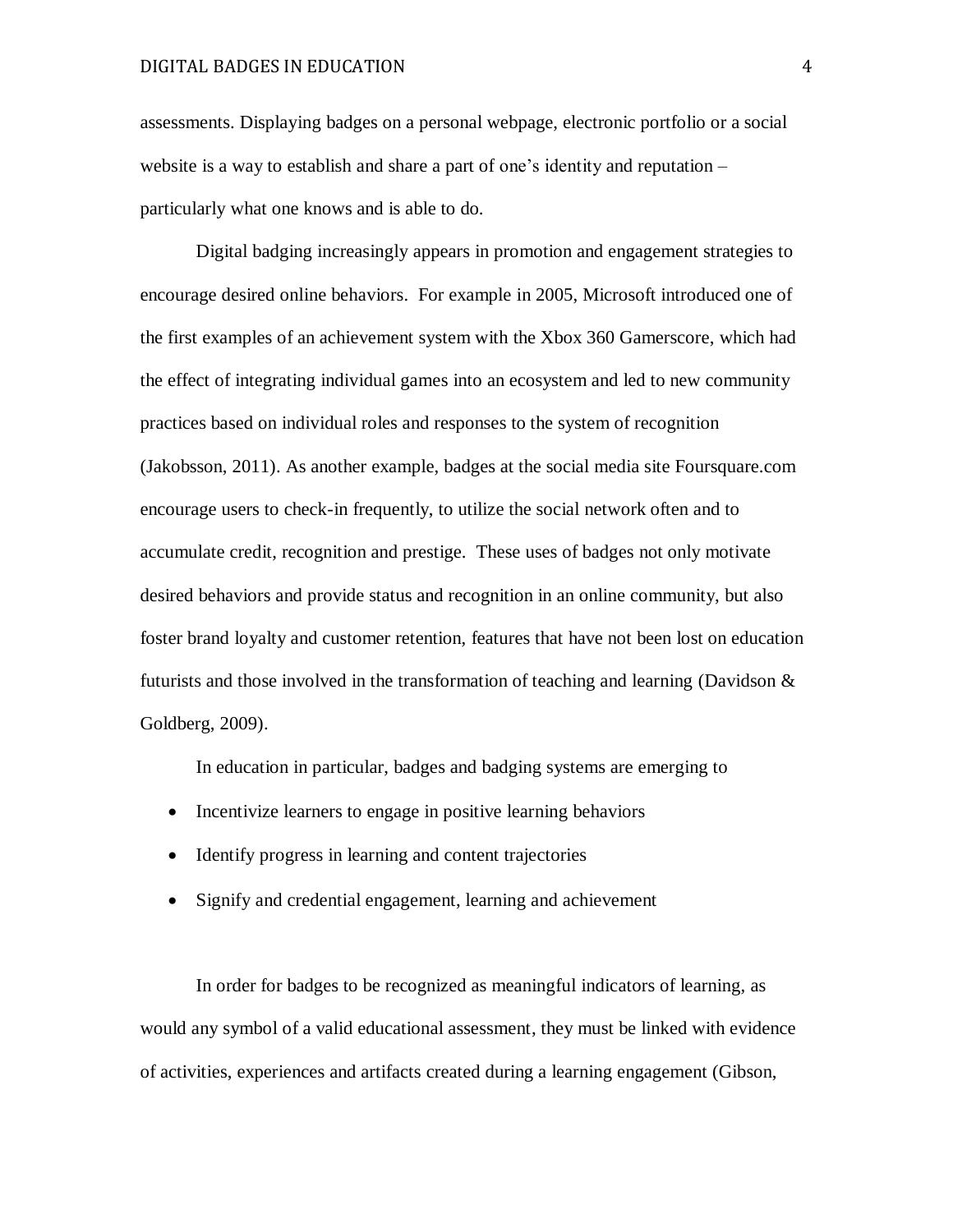#### DIGITAL BADGES IN EDUCATION 4

assessments. Displaying badges on a personal webpage, electronic portfolio or a social website is a way to establish and share a part of one's identity and reputation – particularly what one knows and is able to do.

Digital badging increasingly appears in promotion and engagement strategies to encourage desired online behaviors. For example in 2005, Microsoft introduced one of the first examples of an achievement system with the Xbox 360 Gamerscore, which had the effect of integrating individual games into an ecosystem and led to new community practices based on individual roles and responses to the system of recognition (Jakobsson, 2011). As another example, badges at the social media site Foursquare.com encourage users to check-in frequently, to utilize the social network often and to accumulate credit, recognition and prestige. These uses of badges not only motivate desired behaviors and provide status and recognition in an online community, but also foster brand loyalty and customer retention, features that have not been lost on education futurists and those involved in the transformation of teaching and learning (Davidson  $\&$ Goldberg, 2009).

In education in particular, badges and badging systems are emerging to

- Incentivize learners to engage in positive learning behaviors
- Identify progress in learning and content trajectories
- Signify and credential engagement, learning and achievement

In order for badges to be recognized as meaningful indicators of learning, as would any symbol of a valid educational assessment, they must be linked with evidence of activities, experiences and artifacts created during a learning engagement (Gibson,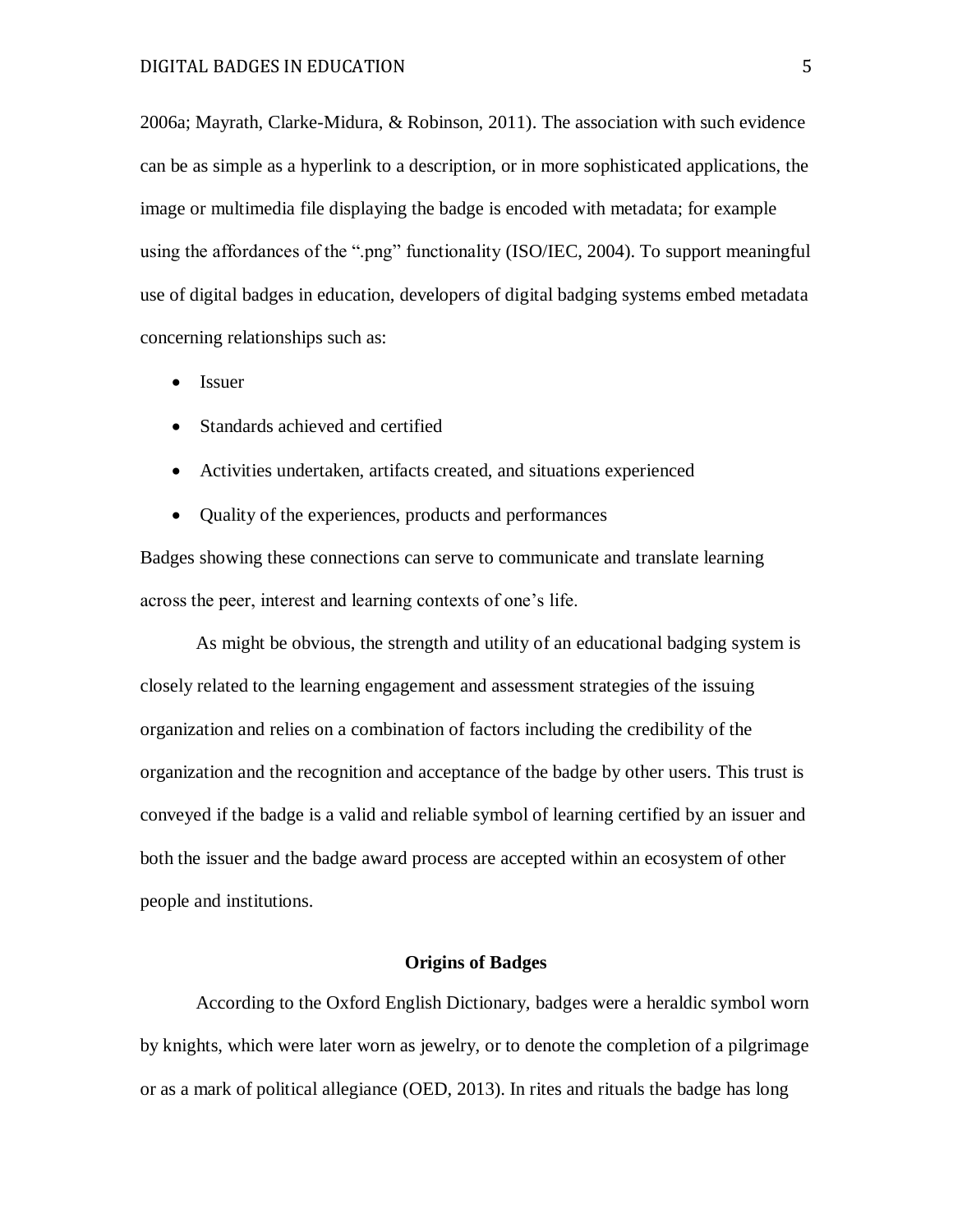2006a; Mayrath, Clarke-Midura, & Robinson, 2011). The association with such evidence can be as simple as a hyperlink to a description, or in more sophisticated applications, the image or multimedia file displaying the badge is encoded with metadata; for example using the affordances of the ".png" functionality (ISO/IEC, 2004). To support meaningful use of digital badges in education, developers of digital badging systems embed metadata concerning relationships such as:

- Issuer
- Standards achieved and certified
- Activities undertaken, artifacts created, and situations experienced
- Quality of the experiences, products and performances

Badges showing these connections can serve to communicate and translate learning across the peer, interest and learning contexts of one's life.

As might be obvious, the strength and utility of an educational badging system is closely related to the learning engagement and assessment strategies of the issuing organization and relies on a combination of factors including the credibility of the organization and the recognition and acceptance of the badge by other users. This trust is conveyed if the badge is a valid and reliable symbol of learning certified by an issuer and both the issuer and the badge award process are accepted within an ecosystem of other people and institutions.

## **Origins of Badges**

According to the Oxford English Dictionary, badges were a heraldic symbol worn by knights, which were later worn as jewelry, or to denote the completion of a pilgrimage or as a mark of political allegiance (OED, 2013). In rites and rituals the badge has long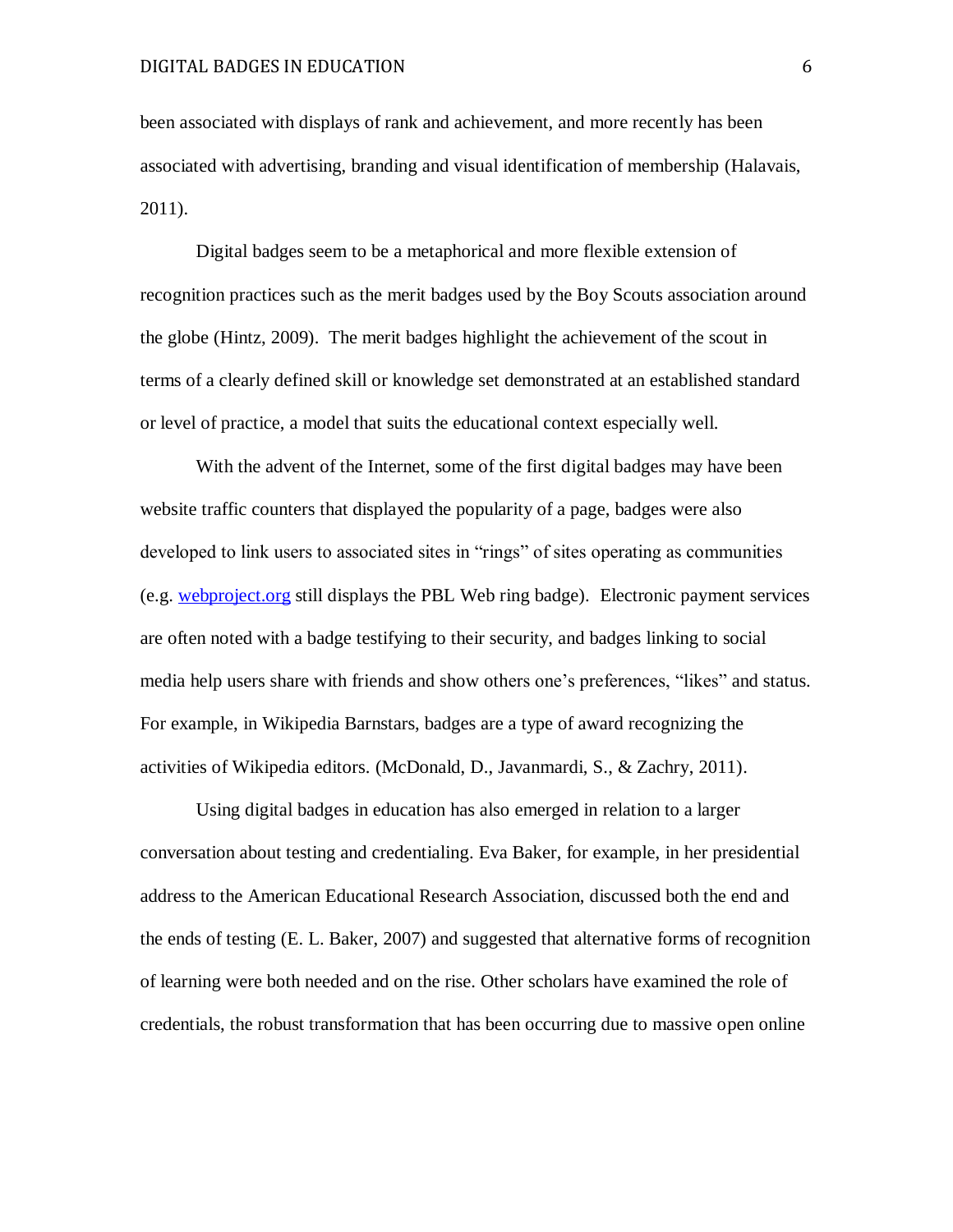been associated with displays of rank and achievement, and more recently has been associated with advertising, branding and visual identification of membership (Halavais, 2011).

Digital badges seem to be a metaphorical and more flexible extension of recognition practices such as the merit badges used by the Boy Scouts association around the globe (Hintz, 2009). The merit badges highlight the achievement of the scout in terms of a clearly defined skill or knowledge set demonstrated at an established standard or level of practice, a model that suits the educational context especially well.

With the advent of the Internet, some of the first digital badges may have been website traffic counters that displayed the popularity of a page, badges were also developed to link users to associated sites in "rings" of sites operating as communities (e.g. [webproject.org](http://www.webproject.org/) still displays the PBL Web ring badge). Electronic payment services are often noted with a badge testifying to their security, and badges linking to social media help users share with friends and show others one's preferences, "likes" and status. For example, in Wikipedia Barnstars, badges are a type of award recognizing the activities of Wikipedia editors. (McDonald, D., Javanmardi, S., & Zachry, 2011).

Using digital badges in education has also emerged in relation to a larger conversation about testing and credentialing. Eva Baker, for example, in her presidential address to the American Educational Research Association, discussed both the end and the ends of testing (E. L. Baker, 2007) and suggested that alternative forms of recognition of learning were both needed and on the rise. Other scholars have examined the role of credentials, the robust transformation that has been occurring due to massive open online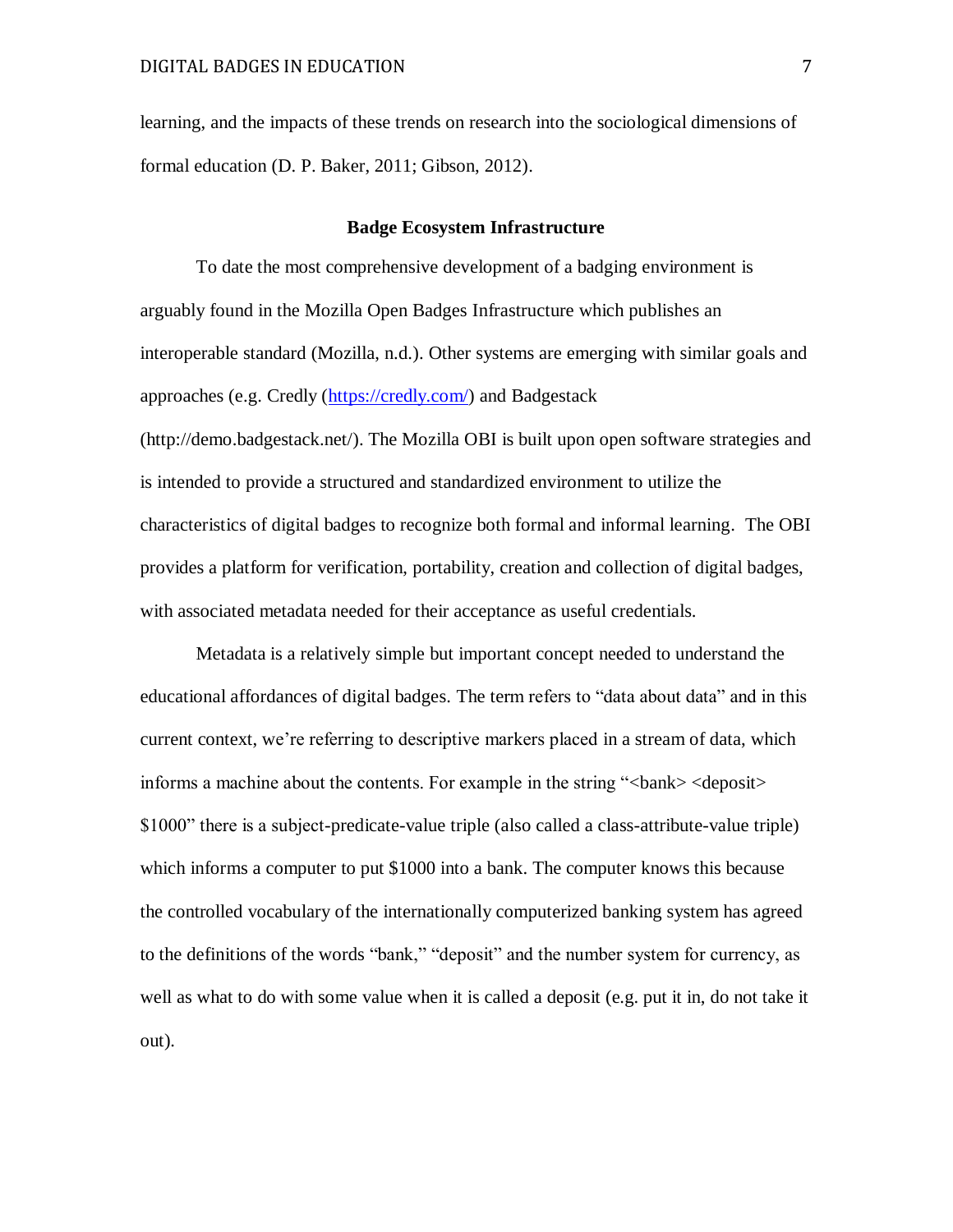learning, and the impacts of these trends on research into the sociological dimensions of formal education (D. P. Baker, 2011; Gibson, 2012).

#### **Badge Ecosystem Infrastructure**

To date the most comprehensive development of a badging environment is arguably found in the Mozilla Open Badges Infrastructure which publishes an interoperable standard (Mozilla, n.d.). Other systems are emerging with similar goals and approaches (e.g. Credly [\(https://credly.com/\)](https://credly.com/) and Badgestack [\(http://demo.badgestack.net/\)](http://demo.badgestack.net/). The Mozilla OBI is built upon open software strategies and is intended to provide a structured and standardized environment to utilize the characteristics of digital badges to recognize both formal and informal learning. The OBI provides a platform for verification, portability, creation and collection of digital badges, with associated metadata needed for their acceptance as useful credentials.

Metadata is a relatively simple but important concept needed to understand the educational affordances of digital badges. The term refers to "data about data" and in this current context, we're referring to descriptive markers placed in a stream of data, which informs a machine about the contents. For example in the string "<br/>bank> <deposit> \$1000" there is a subject-predicate-value triple (also called a class-attribute-value triple) which informs a computer to put \$1000 into a bank. The computer knows this because the controlled vocabulary of the internationally computerized banking system has agreed to the definitions of the words "bank," "deposit" and the number system for currency, as well as what to do with some value when it is called a deposit (e.g. put it in, do not take it out).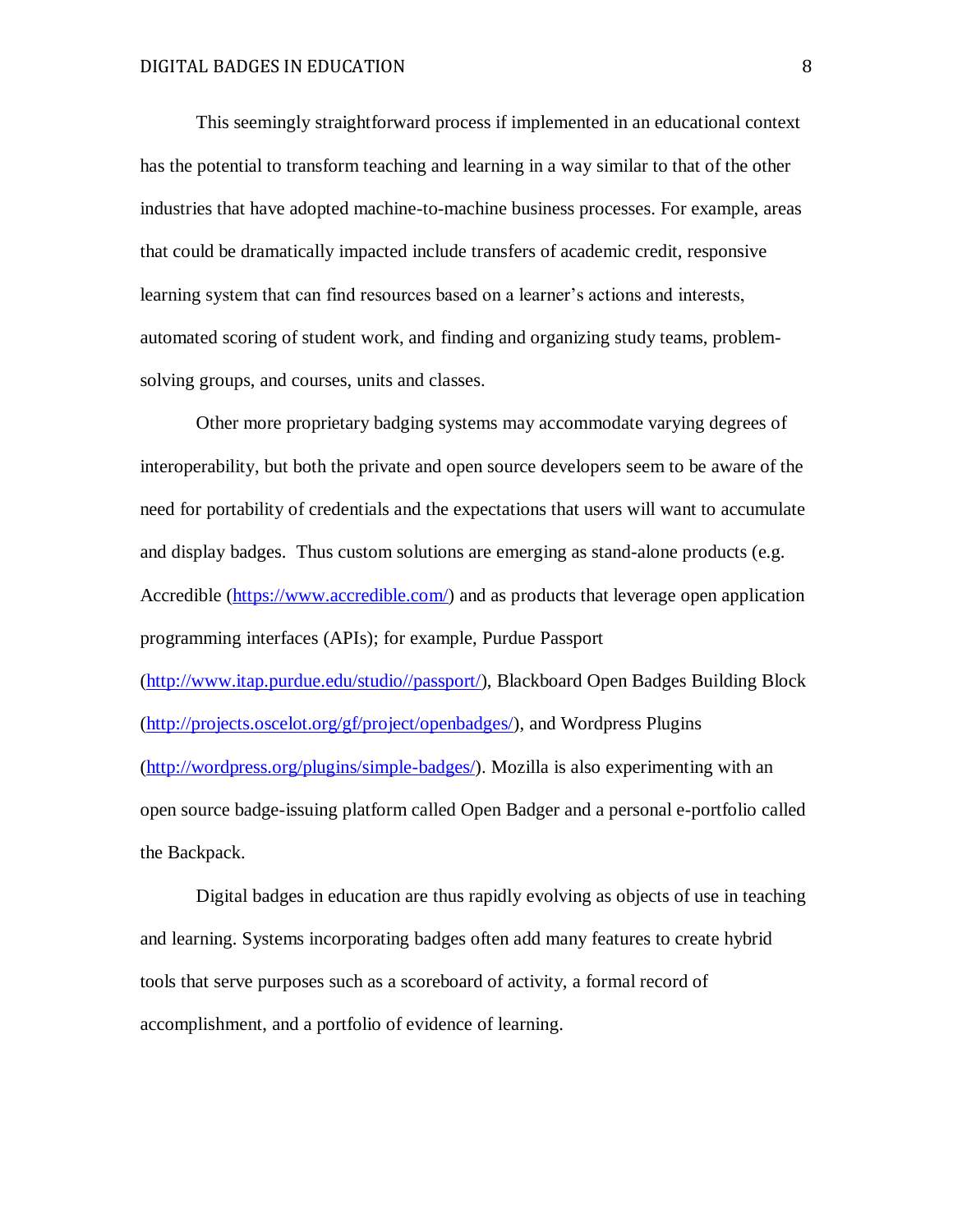This seemingly straightforward process if implemented in an educational context has the potential to transform teaching and learning in a way similar to that of the other industries that have adopted machine-to-machine business processes. For example, areas that could be dramatically impacted include transfers of academic credit, responsive learning system that can find resources based on a learner's actions and interests, automated scoring of student work, and finding and organizing study teams, problemsolving groups, and courses, units and classes.

Other more proprietary badging systems may accommodate varying degrees of interoperability, but both the private and open source developers seem to be aware of the need for portability of credentials and the expectations that users will want to accumulate and display badges. Thus custom solutions are emerging as stand-alone products (e.g. Accredible [\(https://www.accredible.com/\)](https://www.accredible.com/) and as products that leverage open application programming interfaces (APIs); for example, Purdue Passport [\(http://www.itap.purdue.edu/studio//passport/\)](http://www.itap.purdue.edu/studio/passport/), Blackboard Open Badges Building Block [\(http://projects.oscelot.org/gf/project/openbadges/\)](http://projects.oscelot.org/gf/project/openbadges/), and Wordpress Plugins [\(http://wordpress.org/plugins/simple-badges/\)](http://wordpress.org/plugins/simple-badges/). Mozilla is also experimenting with an open source badge-issuing platform called Open Badger and a personal e-portfolio called the Backpack.

Digital badges in education are thus rapidly evolving as objects of use in teaching and learning. Systems incorporating badges often add many features to create hybrid tools that serve purposes such as a scoreboard of activity, a formal record of accomplishment, and a portfolio of evidence of learning.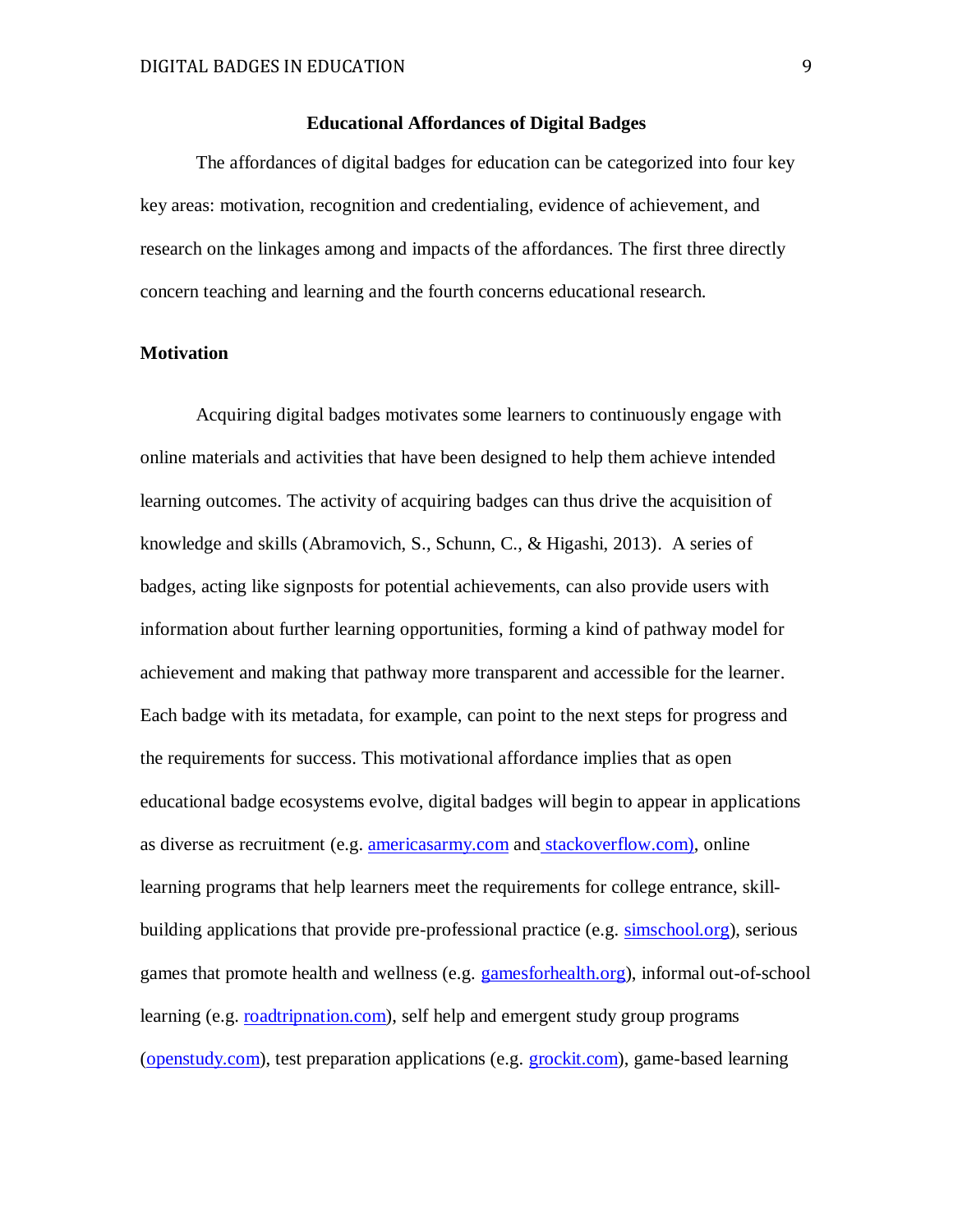## **Educational Affordances of Digital Badges**

The affordances of digital badges for education can be categorized into four key key areas: motivation, recognition and credentialing, evidence of achievement, and research on the linkages among and impacts of the affordances. The first three directly concern teaching and learning and the fourth concerns educational research.

## **Motivation**

Acquiring digital badges motivates some learners to continuously engage with online materials and activities that have been designed to help them achieve intended learning outcomes. The activity of acquiring badges can thus drive the acquisition of knowledge and skills (Abramovich, S., Schunn, C., & Higashi, 2013). A series of badges, acting like signposts for potential achievements, can also provide users with information about further learning opportunities, forming a kind of pathway model for achievement and making that pathway more transparent and accessible for the learner. Each badge with its metadata, for example, can point to the next steps for progress and the requirements for success. This motivational affordance implies that as open educational badge ecosystems evolve, digital badges will begin to appear in applications as diverse as recruitment (e.g. [americasarmy.com](http://www.americasarmy.com/) and [stackoverflow.com\)](http://stackoverflow.com/), online learning programs that help learners meet the requirements for college entrance, skillbuilding applications that provide pre-professional practice (e.g. [simschool.org\)](http://simschool.org/), serious games that promote health and wellness (e.g. [gamesforhealth.org\)](http://gamesforhealth.org/), informal out-of-school learning (e.g. [roadtripnation.com\)](http://www.roadtripnation.com/), self help and emergent study group programs [\(openstudy.com\)](http://openstudy.com/), test preparation applications (e.g. [grockit.com\)](http://www.grockit.com/), game-based learning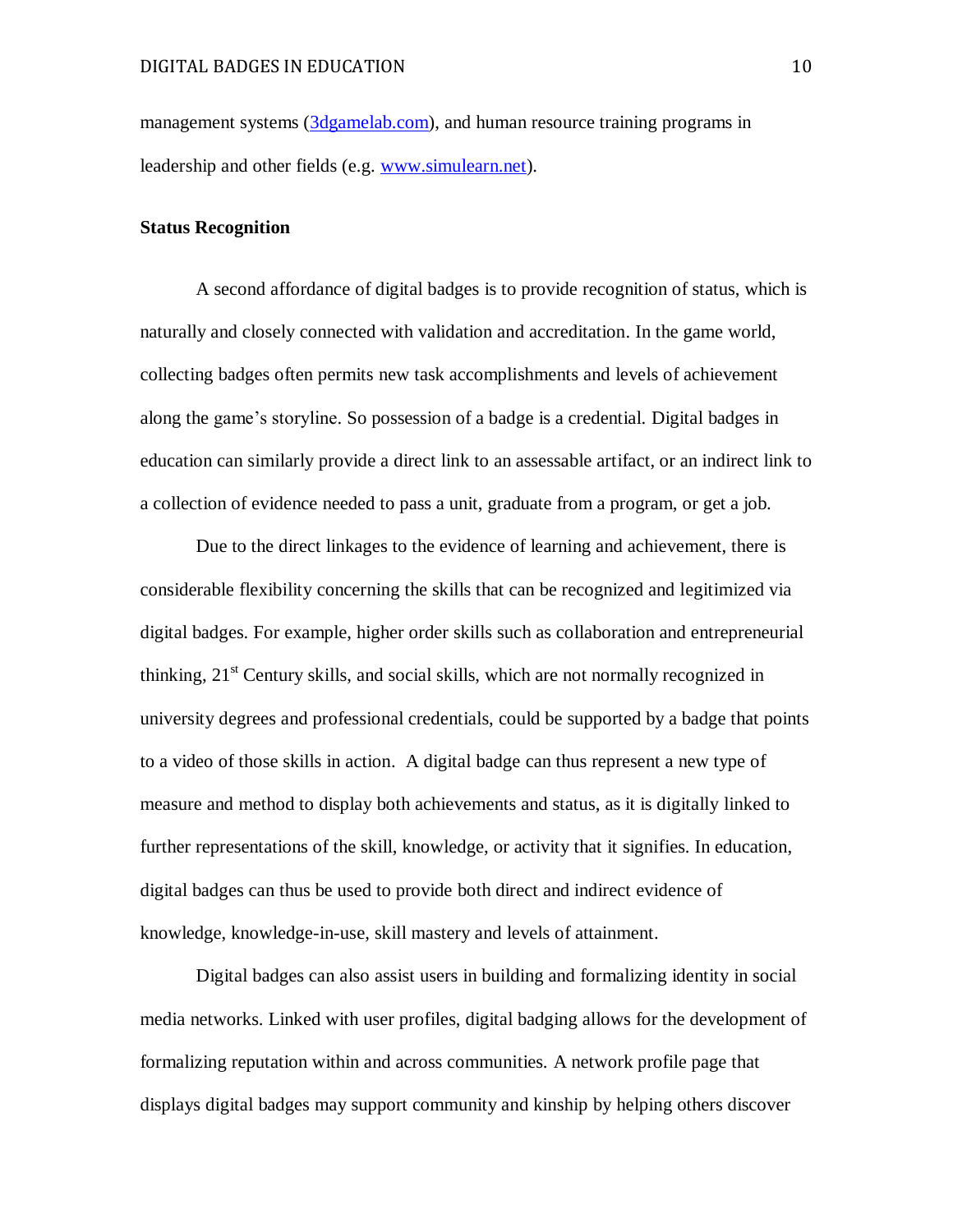management systems [\(3dgamelab.com\)](http://3dgamelab.com/), and human resource training programs in leadership and other fields (e.g. [www.simulearn.net\)](http://www.simulearn.net/).

### **Status Recognition**

A second affordance of digital badges is to provide recognition of status, which is naturally and closely connected with validation and accreditation. In the game world, collecting badges often permits new task accomplishments and levels of achievement along the game's storyline. So possession of a badge is a credential. Digital badges in education can similarly provide a direct link to an assessable artifact, or an indirect link to a collection of evidence needed to pass a unit, graduate from a program, or get a job.

Due to the direct linkages to the evidence of learning and achievement, there is considerable flexibility concerning the skills that can be recognized and legitimized via digital badges. For example, higher order skills such as collaboration and entrepreneurial thinking,  $21<sup>st</sup>$  Century skills, and social skills, which are not normally recognized in university degrees and professional credentials, could be supported by a badge that points to a video of those skills in action. A digital badge can thus represent a new type of measure and method to display both achievements and status, as it is digitally linked to further representations of the skill, knowledge, or activity that it signifies. In education, digital badges can thus be used to provide both direct and indirect evidence of knowledge, knowledge-in-use, skill mastery and levels of attainment.

Digital badges can also assist users in building and formalizing identity in social media networks. Linked with user profiles, digital badging allows for the development of formalizing reputation within and across communities. A network profile page that displays digital badges may support community and kinship by helping others discover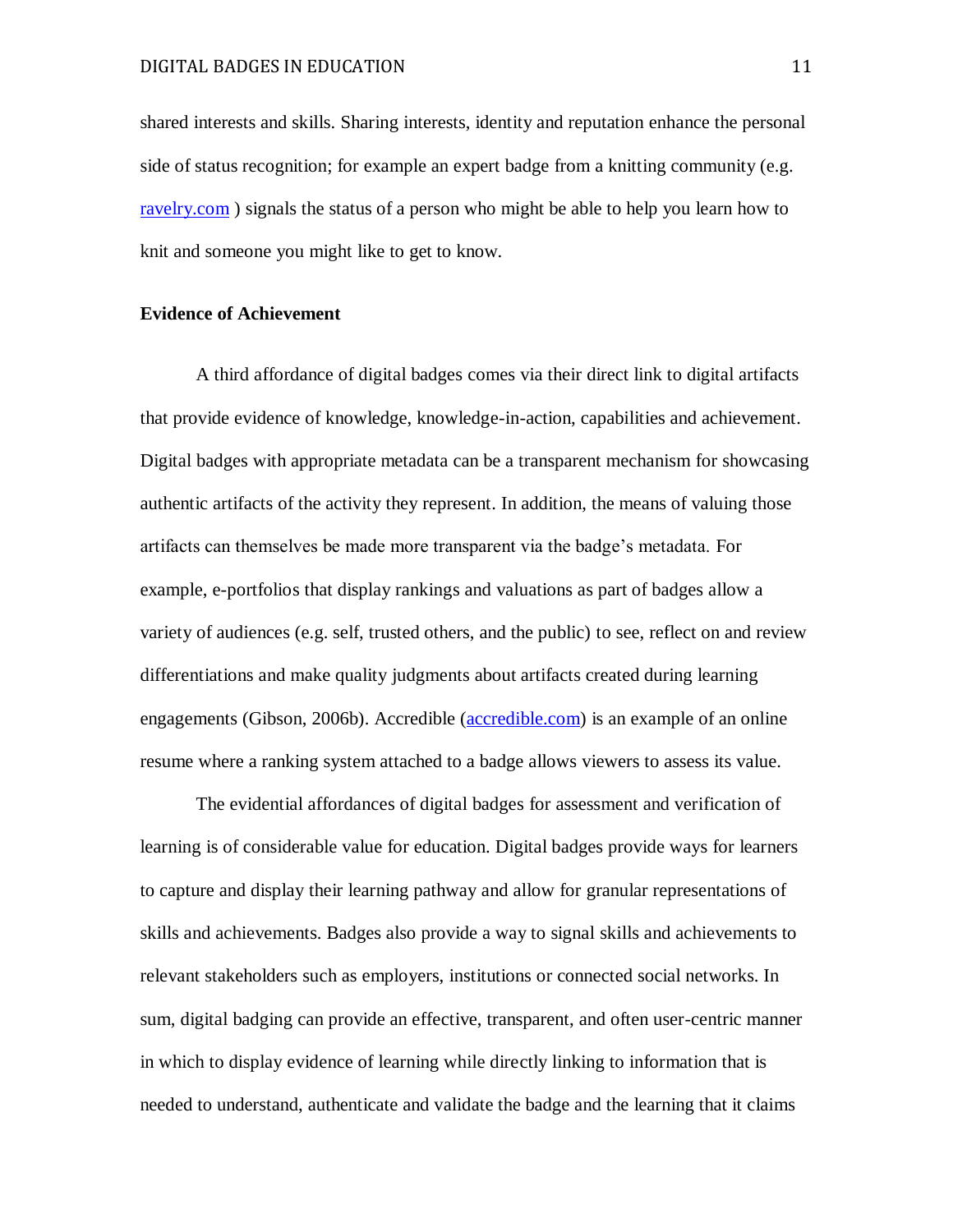shared interests and skills. Sharing interests, identity and reputation enhance the personal side of status recognition; for example an expert badge from a knitting community (e.g. [ravelry.com](http://www.ravelry.com/) ) signals the status of a person who might be able to help you learn how to knit and someone you might like to get to know.

#### **Evidence of Achievement**

A third affordance of digital badges comes via their direct link to digital artifacts that provide evidence of knowledge, knowledge-in-action, capabilities and achievement. Digital badges with appropriate metadata can be a transparent mechanism for showcasing authentic artifacts of the activity they represent. In addition, the means of valuing those artifacts can themselves be made more transparent via the badge's metadata. For example, e-portfolios that display rankings and valuations as part of badges allow a variety of audiences (e.g. self, trusted others, and the public) to see, reflect on and review differentiations and make quality judgments about artifacts created during learning engagements (Gibson, 2006b). Accredible [\(accredible.com\)](https://www.accredible.com/) is an example of an online resume where a ranking system attached to a badge allows viewers to assess its value.

The evidential affordances of digital badges for assessment and verification of learning is of considerable value for education. Digital badges provide ways for learners to capture and display their learning pathway and allow for granular representations of skills and achievements. Badges also provide a way to signal skills and achievements to relevant stakeholders such as employers, institutions or connected social networks. In sum, digital badging can provide an effective, transparent, and often user-centric manner in which to display evidence of learning while directly linking to information that is needed to understand, authenticate and validate the badge and the learning that it claims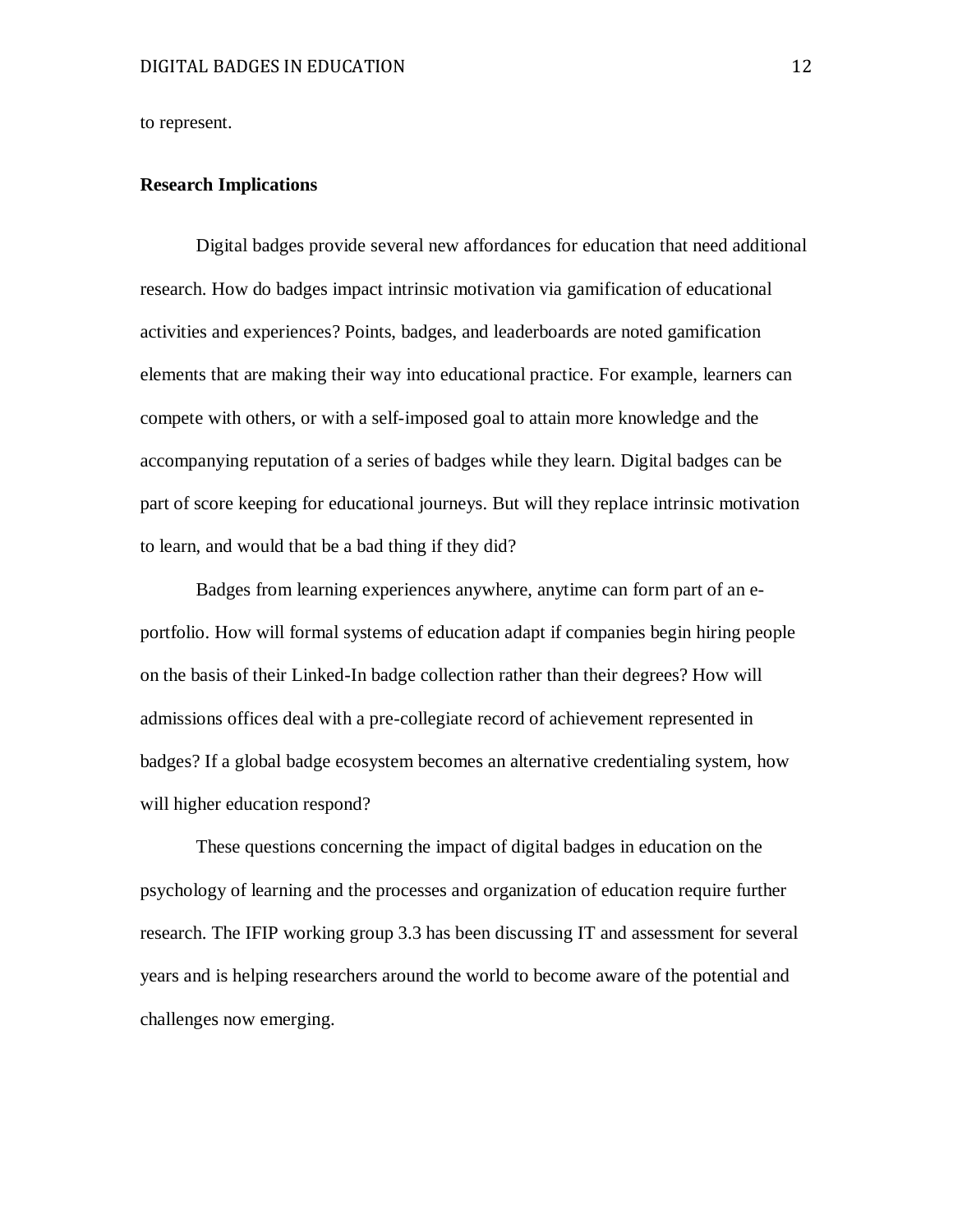to represent.

#### **Research Implications**

Digital badges provide several new affordances for education that need additional research. How do badges impact intrinsic motivation via gamification of educational activities and experiences? Points, badges, and leaderboards are noted gamification elements that are making their way into educational practice. For example, learners can compete with others, or with a self-imposed goal to attain more knowledge and the accompanying reputation of a series of badges while they learn. Digital badges can be part of score keeping for educational journeys. But will they replace intrinsic motivation to learn, and would that be a bad thing if they did?

Badges from learning experiences anywhere, anytime can form part of an eportfolio. How will formal systems of education adapt if companies begin hiring people on the basis of their Linked-In badge collection rather than their degrees? How will admissions offices deal with a pre-collegiate record of achievement represented in badges? If a global badge ecosystem becomes an alternative credentialing system, how will higher education respond?

These questions concerning the impact of digital badges in education on the psychology of learning and the processes and organization of education require further research. The IFIP working group 3.3 has been discussing IT and assessment for several years and is helping researchers around the world to become aware of the potential and challenges now emerging.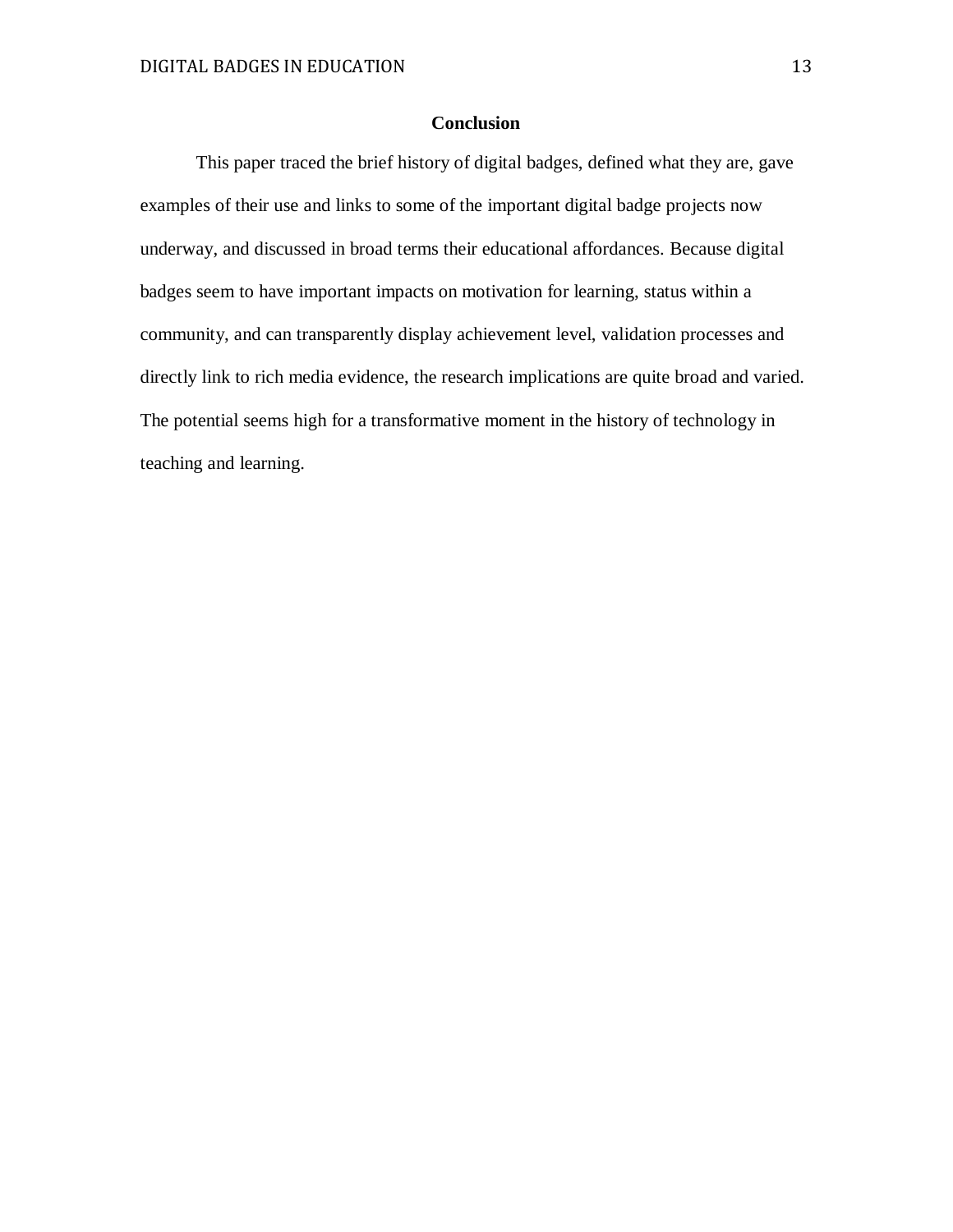# **Conclusion**

This paper traced the brief history of digital badges, defined what they are, gave examples of their use and links to some of the important digital badge projects now underway, and discussed in broad terms their educational affordances. Because digital badges seem to have important impacts on motivation for learning, status within a community, and can transparently display achievement level, validation processes and directly link to rich media evidence, the research implications are quite broad and varied. The potential seems high for a transformative moment in the history of technology in teaching and learning.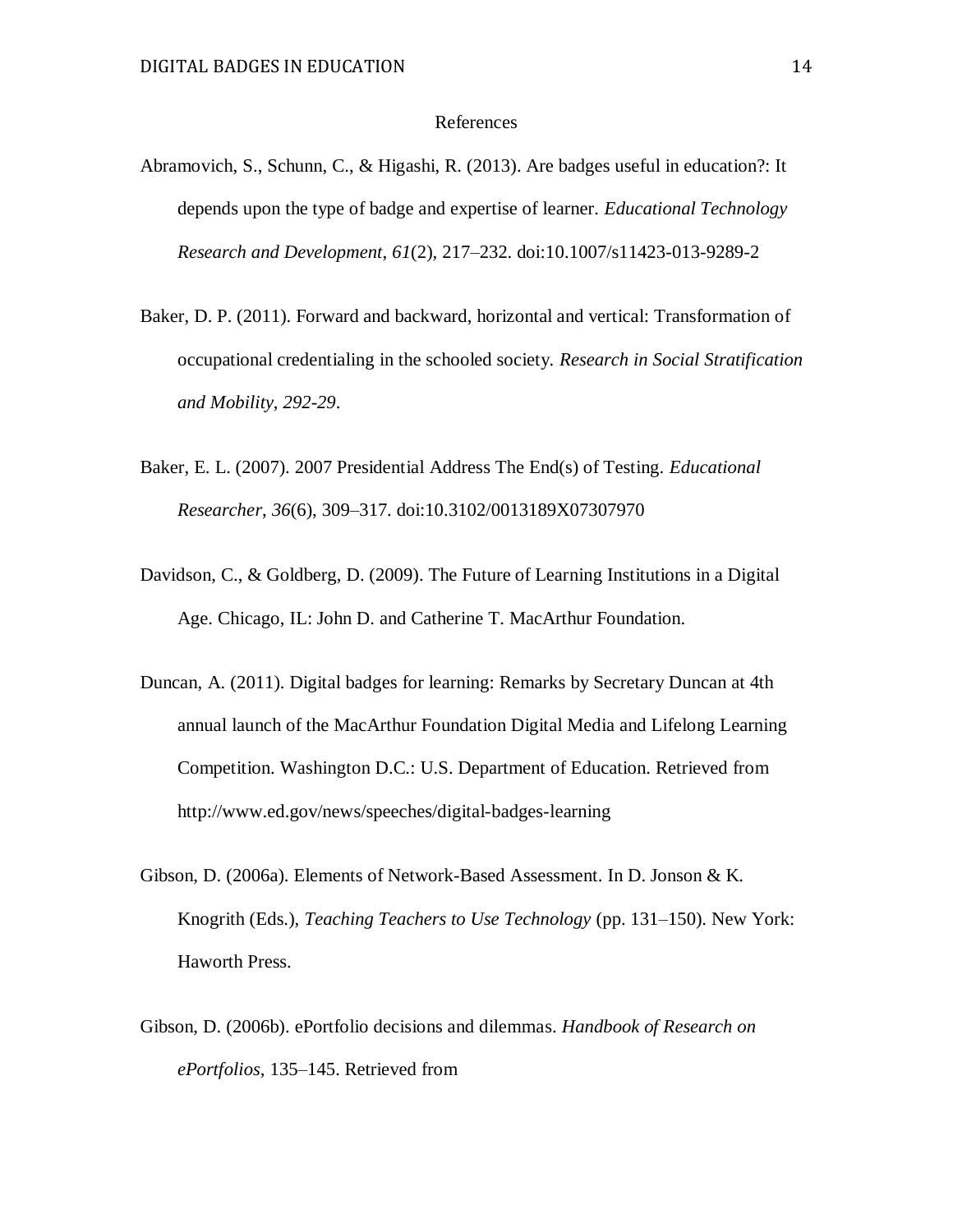### References

- Abramovich, S., Schunn, C., & Higashi, R. (2013). Are badges useful in education?: It depends upon the type of badge and expertise of learner. *Educational Technology Research and Development*, *61*(2), 217–232. doi:10.1007/s11423-013-9289-2
- Baker, D. P. (2011). Forward and backward, horizontal and vertical: Transformation of occupational credentialing in the schooled society. *Research in Social Stratification and Mobility*, *292-29*.
- Baker, E. L. (2007). 2007 Presidential Address The End(s) of Testing. *Educational Researcher*, *36*(6), 309–317. doi:10.3102/0013189X07307970
- Davidson, C., & Goldberg, D. (2009). The Future of Learning Institutions in a Digital Age. Chicago, IL: John D. and Catherine T. MacArthur Foundation.
- Duncan, A. (2011). Digital badges for learning: Remarks by Secretary Duncan at 4th annual launch of the MacArthur Foundation Digital Media and Lifelong Learning Competition. Washington D.C.: U.S. Department of Education. Retrieved from http://www.ed.gov/news/speeches/digital-badges-learning
- Gibson, D. (2006a). Elements of Network-Based Assessment. In D. Jonson & K. Knogrith (Eds.), *Teaching Teachers to Use Technology* (pp. 131–150). New York: Haworth Press.
- Gibson, D. (2006b). ePortfolio decisions and dilemmas. *Handbook of Research on ePortfolios*, 135–145. Retrieved from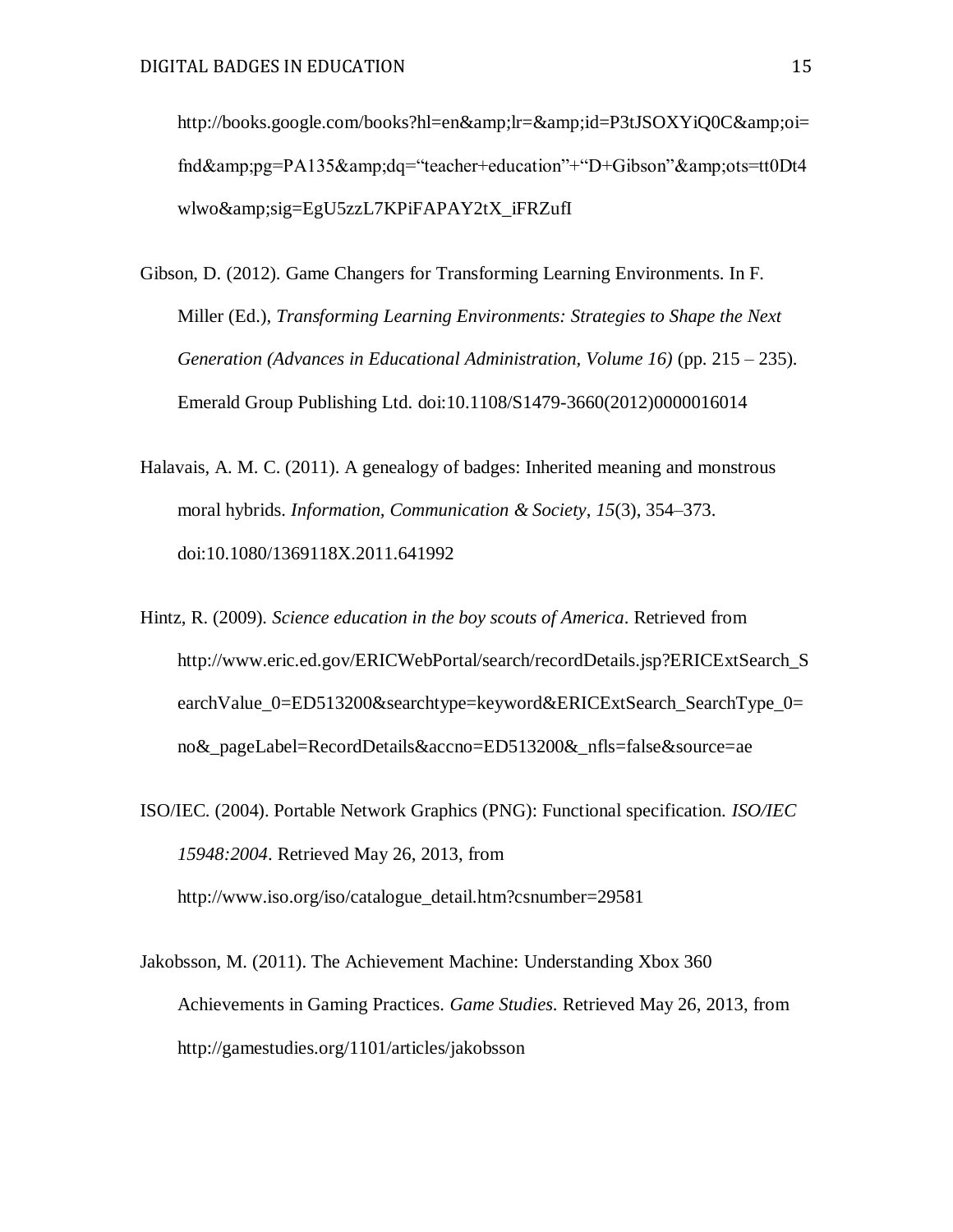http://books.google.com/books?hl=en&amp:lr=&amp:id=P3tJSOXYiQ0C&amp:oi= fnd&pg=PA135&dq="teacher+education"+"D+Gibson"&ots=tt0Dt4 wlwo&sig=EgU5zzL7KPiFAPAY2tX\_iFRZufI

- Gibson, D. (2012). Game Changers for Transforming Learning Environments. In F. Miller (Ed.), *Transforming Learning Environments: Strategies to Shape the Next Generation (Advances in Educational Administration, Volume 16)* (pp. 215 – 235). Emerald Group Publishing Ltd. doi:10.1108/S1479-3660(2012)0000016014
- Halavais, A. M. C. (2011). A genealogy of badges: Inherited meaning and monstrous moral hybrids. *Information, Communication & Society*, *15*(3), 354–373. doi:10.1080/1369118X.2011.641992
- Hintz, R. (2009). *Science education in the boy scouts of America*. Retrieved from http://www.eric.ed.gov/ERICWebPortal/search/recordDetails.jsp?ERICExtSearch\_S earchValue 0=ED513200&searchtype=keyword&ERICExtSearch SearchType 0= no&\_pageLabel=RecordDetails&accno=ED513200&\_nfls=false&source=ae
- ISO/IEC. (2004). Portable Network Graphics (PNG): Functional specification. *ISO/IEC 15948:2004*. Retrieved May 26, 2013, from http://www.iso.org/iso/catalogue\_detail.htm?csnumber=29581
- Jakobsson, M. (2011). The Achievement Machine: Understanding Xbox 360 Achievements in Gaming Practices. *Game Studies*. Retrieved May 26, 2013, from http://gamestudies.org/1101/articles/jakobsson